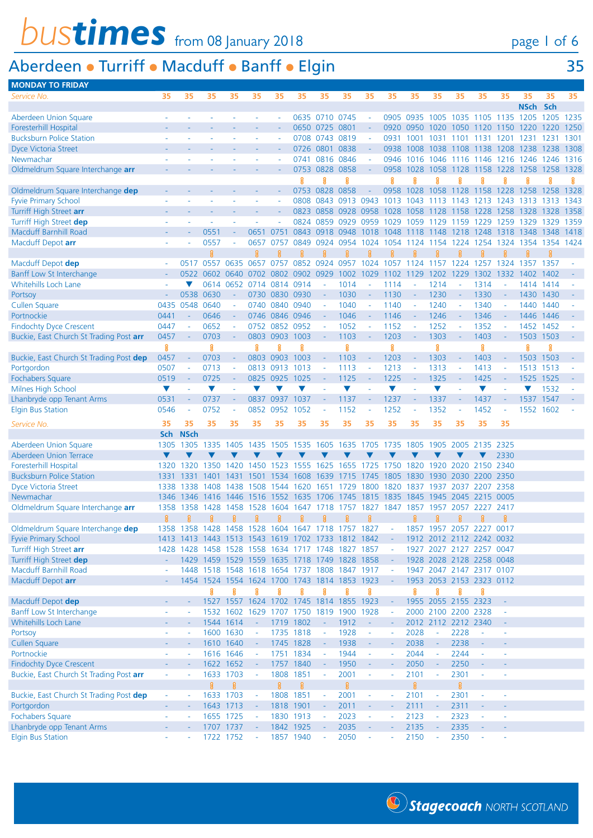# **bustimes** from 08 January 2018 page 1 of 6

#### Aberdeen • Turriff • Macduff • Banff • Elgin **MONDAY TO FRID**

| page I of |  |
|-----------|--|
|           |  |

|  | . |
|--|---|
|  |   |

| <b>IVIUIVAL IU FRIDAI</b>               |                      |                     |                                                   |                          |                          |                |                                         |                          |                      |                             |                      |                          |                      |                          |                                              |                     |                     |           |      |
|-----------------------------------------|----------------------|---------------------|---------------------------------------------------|--------------------------|--------------------------|----------------|-----------------------------------------|--------------------------|----------------------|-----------------------------|----------------------|--------------------------|----------------------|--------------------------|----------------------------------------------|---------------------|---------------------|-----------|------|
| Service No.                             | 35                   | 35                  | 35                                                | 35                       | 35                       | 35             | 35                                      | 35                       | 35                   | 35                          | 35                   | 35                       | 35                   | 35                       | 35                                           | 35                  | 35                  | 35        | 35   |
|                                         |                      |                     |                                                   |                          |                          |                |                                         |                          |                      |                             |                      |                          |                      |                          |                                              |                     | NSch Sch            |           |      |
| Aberdeen Union Square                   |                      |                     |                                                   |                          |                          |                |                                         | 0635 0710 0745           |                      | $\sim$                      |                      |                          |                      |                          | 0905 0935 1005 1035 1105 1135 1205 1205 1235 |                     |                     |           |      |
| Foresterhill Hospital                   |                      |                     |                                                   |                          |                          |                |                                         | 0650 0725 0801           |                      | $\sim$                      | 0920                 | 0950                     |                      |                          | 1020 1050 1120 1150 1220                     |                     |                     | 1220      | 1250 |
| <b>Bucksburn Police Station</b>         |                      |                     |                                                   |                          |                          |                | 0708 0743                               |                          | 0819                 | $\sim$                      | 0931                 | 1001                     | 1031                 | 1101                     | 1131                                         | 1201                | 1231                | 1231      | 1301 |
| <b>Dyce Victoria Street</b>             |                      |                     |                                                   |                          |                          |                |                                         | 0726 0801 0838           |                      | $\sim$                      | 0938                 | 1008                     |                      |                          | 1038 1108 1138 1208 1238 1238 1308           |                     |                     |           |      |
| Newmachar                               |                      |                     |                                                   |                          |                          |                |                                         |                          |                      |                             |                      |                          |                      |                          |                                              |                     |                     | 1246 1316 |      |
|                                         |                      |                     |                                                   |                          |                          |                |                                         | 0741 0816 0846           |                      | $\sim$                      | 0946                 | 1016                     | 1046                 |                          | 1116 1146 1216 1246                          |                     |                     |           |      |
| Oldmeldrum Square Interchange arr       |                      |                     |                                                   |                          |                          |                |                                         | 0753 0828 0858           |                      | $\sim$                      | 0958                 | 1028                     | 1058                 | 1128                     | 1158                                         | 1228                | 1258                | 1258      | 1328 |
|                                         |                      |                     |                                                   |                          |                          |                | ន្ត្                                    | Я                        | ន្ត                  |                             | g                    | ផ្ល                      | ខ្ល                  | Я                        | ខ្ល                                          | Я                   | ខ្ព                 | Я         | ន្ត  |
| Oldmeldrum Square Interchange dep       |                      |                     |                                                   |                          |                          |                |                                         | 0753 0828 0858           |                      |                             |                      |                          |                      |                          | 0958 1028 1058 1128 1158 1228 1258 1258 1328 |                     |                     |           |      |
| <b>Fyvie Primary School</b>             |                      |                     |                                                   |                          |                          |                |                                         |                          | 0808 0843 0913 0943  |                             | 1013 1043            |                          | 1113                 |                          | 1143 1213 1243                               |                     | 1313                | 1313 1343 |      |
| Turriff High Street arr                 |                      |                     |                                                   |                          |                          |                |                                         |                          | 0823 0858 0928 0958  |                             | 1028                 | 1058                     | 1128                 | 1158                     | 1228                                         | 1258                | 1328                | 1328      | 1358 |
| Turriff High Street dep                 |                      |                     |                                                   |                          |                          |                |                                         | 0824 0859                | 0929                 | 0959                        | 1029                 | 1059                     | 1129                 | 1159                     | 1229                                         | 1259                | 1329                | 1329      | 1359 |
| <b>Macduff Barnhill Road</b>            |                      |                     | 0551                                              |                          | 0651                     | 0751           |                                         | 0843 0918 0948           |                      | 1018                        | 1048                 | 1118                     | 1148                 | 1218 1248                |                                              |                     | 1318 1348 1348 1418 |           |      |
|                                         |                      |                     | 0557                                              |                          | 0657                     | 0757           |                                         | 0849 0924                | 0954                 | 1024                        | 1054                 | 1124                     | 1154                 |                          | 1224 1254                                    |                     | 1324 1354 1354 1424 |           |      |
| Macduff Depot arr                       |                      |                     |                                                   |                          |                          |                |                                         |                          |                      |                             |                      |                          |                      |                          |                                              |                     |                     |           |      |
|                                         |                      |                     | 8                                                 |                          | ß                        |                | ୁନ                                      | 鼐                        | ន្ត្                 | 窡                           | ន្ត                  |                          |                      | ន្ត្រ                    | ន្ត្                                         | ន្ត្                |                     | 8         |      |
| Macduff Depot dep                       |                      | 0517                | 0557                                              | 0635                     | 0657                     | 0757           | 0852                                    | 0924 0957                |                      | 1024                        | 1057                 | 1124                     | 1157                 | 1224                     | 1257                                         | 1324                | 1357                | 1357      |      |
| Banff Low St Interchange                |                      | 0522                | 0602 0640                                         |                          |                          |                | 0702 0802 0902 0929                     |                          | 1002 1029            |                             | 1102                 | 1129                     | 1202                 | 1229                     | 1302                                         | 1332                | 1402                | 1402      |      |
| <b>Whitehills Loch Lane</b>             |                      |                     |                                                   | 0614 0652 0714 0814 0914 |                          |                |                                         |                          | 1014                 | $\overline{\phantom{a}}$    | 1114                 |                          | 1214                 |                          | 1314                                         |                     | 1414 1414           |           |      |
| Portsoy                                 |                      | 0538                | 0630                                              |                          |                          | 0730 0830 0930 |                                         |                          | 1030                 | $\sim$                      | 1130                 |                          | 1230                 | $\blacksquare$           | 1330                                         |                     | 1430 1430           |           |      |
| <b>Cullen Square</b>                    | 0435                 | 0548                | 0640                                              | $\sim$                   |                          | 0740 0840      | 0940                                    | $\sim$                   | 1040                 | $\sim$                      | 1140                 | $\omega$                 | 1240                 | $\omega$                 | 1340                                         | $\mathbb{L}$        | 1440                | 1440      |      |
| Portnockie                              | 0441                 |                     | 0646                                              |                          |                          | 0746 0846 0946 |                                         | ٠.                       | 1046                 | $\sim$                      | 1146                 | $\equiv$                 | 1246                 | $\blacksquare$           | 1346                                         | $\sim$              | 1446 1446           |           |      |
|                                         |                      |                     |                                                   |                          |                          |                |                                         |                          |                      |                             |                      |                          |                      |                          | 1352                                         |                     |                     |           |      |
| <b>Findochty Dyce Crescent</b>          | 0447                 |                     | 0652                                              |                          |                          | 0752 0852 0952 |                                         |                          | 1052                 | $\mathbb{Z}$                | 1152                 | $\blacksquare$           | 1252                 | $\blacksquare$           |                                              |                     | 1452 1452           |           |      |
| Buckie, East Church St Trading Post arr | 0457                 |                     | 0703                                              | $\sim$                   | 0803 0903                |                | 1003                                    | $\sim$                   | 1103                 | $\sim$                      | 1203                 | $\omega$                 | 1303                 | $\blacksquare$           | 1403                                         |                     | 1503                | 1503      |      |
|                                         | g                    |                     | 8                                                 |                          | ខ្ល                      | R              | 8                                       |                          | ខ្ល                  |                             | ႘ၟ                   |                          | 8                    |                          | 8                                            |                     | 8                   | ဨၟ        |      |
| Buckie, East Church St Trading Post dep | 0457                 |                     | 0703                                              |                          |                          | 0803 0903 1003 |                                         |                          | 1103                 | $\equiv$                    | 1203                 | $\equiv$                 | 1303                 | $\blacksquare$           | 1403                                         | $\sim$              | 1503 1503           |           |      |
| Portgordon                              | 0507                 |                     | 0713                                              |                          |                          | 0813 0913      | 1013                                    |                          | 1113                 | $\mathbb{Z}$                | 1213                 | $\overline{\phantom{a}}$ | 1313                 | $\sim$                   | 1413                                         |                     | 1513 1513           |           |      |
| Fochabers Square                        | 0519                 |                     | 0725                                              |                          |                          | 0825 0925      | 1025                                    |                          | 1125                 | $\sim$                      | 1225                 | $\sim$                   | 1325                 | ÷,                       | 1425                                         |                     | 1525 1525           |           |      |
| Milnes High School                      | $\blacktriangledown$ |                     | $\blacktriangledown$                              | $\overline{\phantom{a}}$ | v                        | v              | $\blacktriangledown$                    |                          | $\blacktriangledown$ | i.                          | $\blacktriangledown$ | ÷,                       | $\blacktriangledown$ | L,                       | V                                            | ÷,                  |                     | 1532      |      |
| Lhanbryde opp Tenant Arms               | 0531                 |                     | 0737                                              |                          | 0837 0937                |                | 1037                                    |                          | 1137                 | ×,                          | 1237                 | $\sim$                   | 1337                 | $\overline{\phantom{a}}$ | 1437                                         |                     | 1537                | 1547      |      |
|                                         | 0546                 |                     | 0752                                              |                          | 0852 0952                |                | 1052                                    |                          | 1152                 | ÷,                          | 1252                 | $\overline{\phantom{a}}$ | 1352                 | ÷                        | 1452                                         |                     | 1552 1602           |           |      |
| <b>Elgin Bus Station</b>                |                      |                     |                                                   |                          |                          |                |                                         |                          |                      |                             |                      |                          |                      |                          |                                              |                     |                     |           |      |
| Service No.                             | 35                   | 35                  | 35                                                | 35                       | 35                       | 35             | 35                                      | 35                       | 35                   | 35                          | 35                   | 35                       | 35                   | 35                       | 35                                           | 35                  |                     |           |      |
|                                         | Sch                  | <b>NSch</b>         |                                                   |                          |                          |                |                                         |                          |                      |                             |                      |                          |                      |                          |                                              |                     |                     |           |      |
| <b>Aberdeen Union Square</b>            | 1305                 | 1305                | 1335                                              | 1405                     | 1435                     | 1505           | 1535                                    | 1605                     | 1635                 | 1705                        | 1735                 | 1805                     | 1905                 | 2005                     | 2135                                         | 2325                |                     |           |      |
| <b>Aberdeen Union Terrace</b>           | V                    | v                   |                                                   |                          |                          |                |                                         |                          |                      |                             |                      |                          |                      |                          | v                                            | 2330                |                     |           |      |
| <b>Foresterhill Hospital</b>            | 1320                 | 1320                | 1350                                              | 1420                     | 1450                     | 1523           | 1555 1625                               |                          | 1655                 | 1725                        | 1750                 | 1820                     |                      |                          | 1920 2020 2150 2340                          |                     |                     |           |      |
|                                         |                      |                     |                                                   |                          |                          |                |                                         |                          |                      |                             |                      |                          |                      |                          |                                              |                     |                     |           |      |
| <b>Bucksburn Police Station</b>         | 1331                 | 1331                | 1401                                              | 1431                     | 1501                     | 1534           | 1608 1639                               |                          | 1715                 | -1745                       | 1805                 | 1830                     | 1930                 |                          | 2030 2200 2350                               |                     |                     |           |      |
| <b>Dyce Victoria Street</b>             | 1338                 | 1338                | 1408                                              | 1438                     | 1508                     | 1544           | 1620                                    | 1651                     | 1729                 | 1800                        | 1820                 | 1837                     | 1937                 |                          | 2037 2207 2358                               |                     |                     |           |      |
| Newmachar                               | 1346                 | 1346                | 1416                                              | 1446                     | 1516                     | 1552           | 1635                                    | 1706                     | 1745                 | 1815                        | 1835                 | 1845                     | 1945                 |                          | 2045 2215 0005                               |                     |                     |           |      |
| Oldmeldrum Square Interchange arr       | 1358                 | 1358                | 1428                                              | 1458                     | 1528                     | 1604           | 1647                                    | 1718                     | 1757                 | 1827                        | 1847                 | 1857                     | 1957                 | 2057                     | 2227                                         | 2417                |                     |           |      |
|                                         | ន្ល                  | 窡                   | Я                                                 | ន្ល                      |                          |                |                                         | ន្ត្រ                    | ន្ត្                 | ន្ត្រ                       |                      | ន្ត្រ                    | ន្ត                  | ႙ၟ                       | ន្ត្                                         | ဨၟ                  |                     |           |      |
| Oldmeldrum Square Interchange dep       | 1358                 |                     | 1358 1428 1458 1528                               |                          |                          |                | 1604 1647 1718 1757 1827                |                          |                      |                             |                      | 1857                     | 1957                 | 2057 2227                |                                              | 0017                |                     |           |      |
| <b>Fyvie Primary School</b>             |                      |                     | 1413 1413 1443 1513 1543 1619 1702 1733 1812 1842 |                          |                          |                |                                         |                          |                      |                             |                      |                          |                      |                          | 1912 2012 2112 2242 0032                     |                     |                     |           |      |
| Turriff High Street arr                 |                      |                     | 1428 1428 1458 1528 1558 1634 1717 1748 1827 1857 |                          |                          |                |                                         |                          |                      |                             | ÷,                   |                          |                      |                          | 1927 2027 2127 2257 0047                     |                     |                     |           |      |
|                                         |                      |                     |                                                   |                          |                          |                |                                         |                          |                      |                             |                      |                          |                      |                          |                                              |                     |                     |           |      |
| Turriff High Street dep                 |                      |                     | 1429 1459 1529 1559 1635 1718 1749 1828 1858      |                          |                          |                |                                         |                          |                      |                             |                      |                          |                      |                          | 1928 2028 2128 2258 0048                     |                     |                     |           |      |
| <b>Macduff Barnhill Road</b>            |                      |                     | 1448 1518 1548 1618 1654 1737 1808 1847 1917      |                          |                          |                |                                         |                          |                      |                             | $\equiv$             |                          |                      |                          | 1947 2047 2147 2317 0107                     |                     |                     |           |      |
| Macduff Depot arr                       |                      |                     | 1454 1524 1554 1624 1700 1743 1814 1853 1923      |                          |                          |                |                                         |                          |                      |                             |                      |                          |                      |                          | 1953 2053 2153 2323 0112                     |                     |                     |           |      |
|                                         |                      |                     | ႘ၟ                                                | ႘ၟ                       | ខ្ល                      | ဨၟ             | ខ្ល                                     | ႘ၟ                       | ខ្ល                  | ဨၟ                          |                      | ႘ၟ                       | ខ្ល                  | ဨၟ                       | ႘ၟ                                           |                     |                     |           |      |
| Macduff Depot dep                       |                      |                     |                                                   |                          |                          |                | 1527 1557 1624 1702 1745 1814 1855 1923 |                          |                      |                             |                      |                          |                      | 1955 2055 2155 2323      |                                              |                     |                     |           |      |
| Banff Low St Interchange                |                      |                     | 1532                                              | 1602                     |                          |                | 1629 1707 1750 1819 1900 1928           |                          |                      |                             | ÷,                   |                          |                      | 2000 2100 2200 2328      |                                              | ÷,                  |                     |           |      |
| Whitehills Loch Lane                    |                      |                     | 1544 1614                                         |                          | $\blacksquare$           | 1719 1802      |                                         |                          | 1912                 | $\omega$                    |                      |                          |                      | 2012 2112 2212 2340      |                                              | $\blacksquare$      |                     |           |      |
| Portsoy                                 |                      |                     | 1600 1630                                         |                          | $\equiv$                 | 1735 1818      |                                         | $\sim$                   | 1928                 | $\omega$                    | J,                   | 2028                     | $\equiv$             | 2228                     | $\blacksquare$                               | ä,                  |                     |           |      |
|                                         |                      |                     |                                                   |                          |                          |                |                                         |                          |                      |                             |                      |                          |                      |                          |                                              |                     |                     |           |      |
| <b>Cullen Square</b>                    |                      |                     | 1610 1640                                         |                          |                          | 1745 1828      |                                         |                          | 1938                 |                             |                      | 2038                     |                      | 2238                     |                                              |                     |                     |           |      |
| Portnockie                              | ÷                    | ÷                   | 1616 1646                                         |                          | $\sim$                   | 1751 1834      |                                         | $\omega$                 | 1944                 | $\overline{\phantom{a}}$    |                      | 2044                     | ÷                    | 2244                     | ÷,                                           | $\bar{\phantom{a}}$ |                     |           |      |
| <b>Findochty Dyce Crescent</b>          |                      |                     | 1622 1652                                         |                          |                          |                | 1757 1840                               |                          | 1950                 |                             |                      | 2050                     | $\Box$               | 2250                     |                                              |                     |                     |           |      |
| Buckie, East Church St Trading Post arr | ÷,                   |                     | 1633 1703                                         |                          | $\omega$                 | 1808 1851      |                                         | $\sim$                   | 2001                 | $\omega$                    | Ĭ.                   | 2101                     | $\Box$               | 2301                     | $\Box$                                       | ä,                  |                     |           |      |
|                                         |                      |                     | ន្ល                                               | 8                        |                          | $\mathbf{R}$   | 8                                       |                          | 8                    |                             |                      | 8                        |                      | 8                        |                                              |                     |                     |           |      |
| Buckie, East Church St Trading Post dep | ÷,                   |                     | 1633 1703                                         |                          | $\overline{\phantom{a}}$ | 1808 1851      |                                         | $\overline{\phantom{a}}$ | 2001                 | $\overline{\phantom{a}}$    |                      | 2101                     |                      | 2301                     | ÷                                            | $\bar{\phantom{a}}$ |                     |           |      |
| Portgordon                              |                      |                     | 1643 1713                                         |                          |                          | 1818 1901      |                                         |                          | 2011                 |                             |                      | 2111                     |                      | 2311                     |                                              |                     |                     |           |      |
| <b>Fochabers Square</b>                 | ÷,                   | $\bar{\phantom{a}}$ | 1655 1725                                         |                          |                          | 1830 1913      |                                         | $\sim$                   | 2023                 | $\mathcal{L}_{\mathcal{A}}$ | ä,                   | 2123                     | $\Box$               | 2323                     | ä,                                           | ä,                  |                     |           |      |
|                                         |                      |                     |                                                   |                          |                          |                |                                         |                          |                      |                             |                      |                          |                      |                          |                                              |                     |                     |           |      |
| Lhanbryde opp Tenant Arms               |                      |                     | 1707 1737                                         |                          |                          | 1842 1925      |                                         |                          | 2035                 |                             |                      | 2135                     |                      | 2335                     |                                              | ÷                   |                     |           |      |
| <b>Elgin Bus Station</b>                |                      |                     | 1722 1752                                         |                          |                          | 1857 1940      |                                         |                          | 2050                 |                             |                      | 2150                     |                      | 2350                     |                                              | ÷                   |                     |           |      |

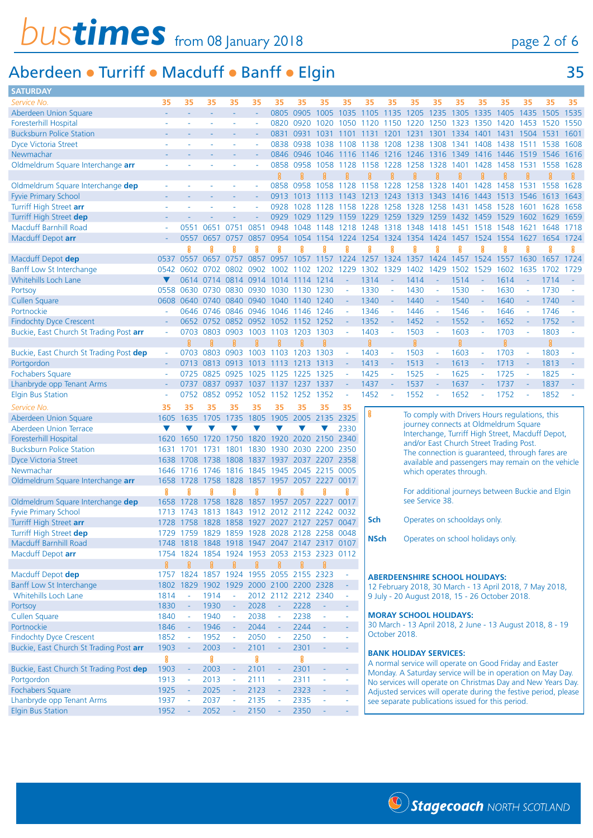## *bustimes* from 08 January 2018 page 2 of 6

### Aberdeen • Turriff • Macduff • Banff • Elgin 35

| <b>SATURDAY</b>                                       |              |                                      |              |                                              |              |                            |                |                            |                     |             |                     |                                                |                     |                                                                  |                          |      |           |                |      |
|-------------------------------------------------------|--------------|--------------------------------------|--------------|----------------------------------------------|--------------|----------------------------|----------------|----------------------------|---------------------|-------------|---------------------|------------------------------------------------|---------------------|------------------------------------------------------------------|--------------------------|------|-----------|----------------|------|
| Service No.                                           | 35           | 35                                   | 35           | 35                                           | 35           | 35                         | 35             | 35                         | 35                  | 35          | 35                  | 35                                             | 35                  | 35                                                               | 35                       | 35   | 35        | 35             | 35   |
| Aberdeen Union Square                                 |              |                                      |              | ÷                                            | ÷,           | 0805                       | 0905           | 1005                       | 1035                | 1105        | 1135                | 1205                                           | 1235                | 1305                                                             | 1335                     | 1405 | 1435      | 1505           | 1535 |
| <b>Foresterhill Hospital</b>                          |              |                                      |              |                                              | L,           | 0820                       | 0920           | 1020                       | 1050                | 1120        | 1150                | 1220                                           | 1250                | 1323                                                             | 1350                     | 1420 | 1453      | 1520           | 1550 |
| <b>Bucksburn Police Station</b>                       |              |                                      |              |                                              |              | 0831                       | 0931           | 1031                       | 1101                | 1131        | 1201                | 1231                                           | 1301                | 1334                                                             | 1401                     | 1431 | 1504 1531 |                | 1601 |
| <b>Dyce Victoria Street</b>                           |              |                                      |              |                                              |              | 0838                       | 0938           | 1038                       | 1108                | 1138        | 1208                | 1238                                           | 1308                | 1341                                                             | 1408                     | 1438 | 1511      | 1538           | 1608 |
| Newmachar                                             |              |                                      |              |                                              |              | 0846                       | 0946           | 1046                       | 1116                | 1146        | 1216                | 1246                                           | 1316                | 1349                                                             | 1416                     | 1446 | 1519      | 1546           | 1616 |
| Oldmeldrum Square Interchange arr                     |              |                                      |              |                                              |              | 0858                       | 0958           | 1058                       | 1128                | 1158        | 1228                | 1258                                           | 1328                | -1401                                                            | 1428                     | 1458 | 1531      | 1558           | 1628 |
|                                                       |              |                                      |              |                                              |              | 窡                          | ß              |                            |                     |             | ន្ទ                 |                                                | 욣                   | ß                                                                |                          |      |           |                | g    |
| Oldmeldrum Square Interchange dep                     |              |                                      |              |                                              |              | 0858                       | 0958           | 1058                       | 1128                | 1158        | 1228                | 1258                                           | 1328                | 1401                                                             | 1428                     | 1458 | 1531      | 1558           | 1628 |
| <b>Fyvie Primary School</b>                           |              |                                      |              |                                              |              | 0913                       | 1013           | 13                         | 1143                | 1213        | 1243                | 1313                                           | 1343                | 1416                                                             | 1443                     | 1513 | 1546      | 3              | 1643 |
| Turriff High Street arr                               |              |                                      |              |                                              |              | 0928                       | 1028           | 1128                       | 1158                | 1228        | 1258                | 1328                                           | 1258                | 1431                                                             | 1458                     | 1528 | 1601      | 1628           | 1658 |
| Turriff High Street dep                               |              |                                      |              |                                              |              | 0929                       | 1029           | 1129                       | 1159                | 1229        | 1259                | 1329                                           | 1259                | 1432                                                             | 1459                     | 1529 | 1602 1629 |                | 1659 |
| <b>Macduff Barnhill Road</b>                          |              | 0551                                 | 065          | 075                                          | 0851         | 0948                       | 1048           | 1148                       | 1218                | 1248        | 1318                | 1348                                           | 1418                | 1451                                                             | 1518                     | 1548 | 1621      | 1648           | 1718 |
| Macduff Depot arr                                     |              | 0557                                 | 0657         | 0757                                         | 0857         | 0954                       | 1054           | 1154                       | 1224                | 1254        | 1324                | 1354                                           |                     | 1424 1457                                                        | 1524                     | 1554 | 1627      | 1654           | 1724 |
|                                                       |              | ନ୍ଥ                                  | g            | R                                            | g            |                            | g              |                            | ន្ត្                | Я           | ହୁ                  | Я                                              | ខ្ល                 |                                                                  |                          |      |           | ្អ             | Я    |
| Macduff Depot dep                                     |              | 0537 0557                            | 0657         | 0757                                         | 0857         | 0957                       | 1057           | 1157                       | 1224 1257           |             |                     | 1324 1357                                      |                     | 1424 1457                                                        | 1524                     | 1557 |           | 1630 1657 1724 |      |
| Banff Low St Interchange                              | 0542         | 0602                                 | 0702         |                                              | 0902         | 1002                       | 1102           | 1202                       | 1229                | 1302        | 1329                | 1402                                           | 1429                | 1502                                                             | 1529                     | 1602 | 1635      | 1702           | 1729 |
| <b>Whitehills Loch Lane</b>                           |              | 0614                                 | 0714         | 0814                                         | 0914         | 1014                       | 1114           | 1214                       | $\sim$              | 1314        |                     | 1414                                           | $\sim$              | 1514                                                             |                          | 1614 |           | 1714           |      |
|                                                       | 0558         | 0630                                 | 0730         | 0830                                         | 0930         | 1030                       |                | 1230                       | $\mathbf{r}$        | 1330        | $\bar{\phantom{a}}$ | 1430                                           | $\sim$              | 1530                                                             | $\bar{\phantom{a}}$      | 1630 | ÷,        | 1730           |      |
| Portsoy                                               |              |                                      | 0640 0740    |                                              |              |                            | 1130           |                            |                     | 1340        |                     | 1440                                           | $\sim$              | 1540                                                             | $\sim$                   | 1640 |           | 1740           |      |
| <b>Cullen Square</b><br>Portnockie                    | 0608         |                                      |              | 0840<br>0646 0746 0846 0946 1046             |              | 0940 1040 1140             |                | 1240                       | $\sim$              |             | $\sim$              |                                                |                     |                                                                  |                          |      |           |                |      |
|                                                       |              |                                      |              |                                              |              |                            | 1146           | 1246                       | $\omega$            | 1346        | $\bar{\phantom{a}}$ | 1446                                           | $\sim$              | 1546                                                             | $\sim$                   | 1646 | $\sim$    | 1746           |      |
| <b>Findochty Dyce Crescent</b>                        |              | 0652                                 | 0752         | 0852                                         |              | 0952 1052                  | 1152           | 1252                       | $\omega$            | 1352        | $\blacksquare$      | 1452                                           | $\omega$            | 1552                                                             | ÷                        | 1652 | $\sim$    | 1752           |      |
| Buckie, East Church St Trading Post arr               | $\sim$       | 0703                                 | 0803         | 0903                                         | 1003         | 1103                       | 1203           | 1303                       | $\omega$            | 1403        | $\sim$              | 1503                                           | $\sim$              | 1603                                                             | $\bar{\phantom{a}}$      | 1703 | $\sim$    | 1803           |      |
|                                                       |              | ନ୍ଥ                                  | g            | 窡                                            | ន្ត្         | ß                          |                | 且                          |                     | 8           |                     | <b>B</b>                                       |                     | 8                                                                |                          | 8    |           | g              |      |
| Buckie, East Church St Trading Post dep               | ÷,           | 0703                                 | 0803         | 0903                                         | 1003         | 1103                       | 1203           | 1303                       | $\blacksquare$      | 1403        |                     | 1503                                           | $\bar{\phantom{a}}$ | 1603                                                             |                          | 1703 |           | 1803           |      |
| Portgordon                                            |              | 0713                                 | 0813         | 0913                                         | 1013         | -1113                      | 1213           | 1313                       | $\omega$            | 1413        | $\sim$              | 1513                                           | $\sim$              | 1613                                                             | $\sim$                   | 1713 | $\sim$    | 1813           |      |
| <b>Fochabers Square</b>                               |              | 0725                                 | 0825         | 0925                                         | 1025         | 1125                       | 1225           | 1325                       | $\omega$            | 1425        | $\bar{\phantom{a}}$ | 1525                                           | $\sim$              | 1625                                                             | $\overline{\phantom{a}}$ | 1725 | $\sim$    | 1825           |      |
| Lhanbryde opp Tenant Arms                             |              | 0737                                 | 0837         | 0937                                         | 1037         | 1137                       | 1237           | 1337                       | ÷,                  | 1437        |                     | 1537                                           | ÷                   | 1637                                                             |                          | 1737 |           | 1837           |      |
| <b>Elgin Bus Station</b>                              |              | 0752                                 | 0852         | 0952                                         | 1052         | 1152                       | 1252           | 1352                       | L,                  | 1452        |                     | 1552                                           |                     | 1652                                                             |                          | 1752 |           | 1852           |      |
| Service No.                                           | 35           | 35                                   | 35           | 35                                           | 35           | 35                         | 35             | 35                         | 35                  | ន្ល         |                     |                                                |                     |                                                                  |                          |      |           |                |      |
|                                                       |              |                                      |              |                                              |              |                            |                |                            |                     |             |                     |                                                |                     |                                                                  |                          |      |           |                |      |
| Aberdeen Union Square                                 | 1605         | 1635                                 | 1705         | 1735                                         | 1805         | 1905                       | 2005           | 2135                       | 2325                |             |                     | To comply with Drivers Hours regulations, this |                     |                                                                  |                          |      |           |                |      |
| <b>Aberdeen Union Terrace</b>                         | v            |                                      |              |                                              |              |                            |                |                            | 2330                |             |                     |                                                |                     | journey connects at Oldmeldrum Square                            |                          |      |           |                |      |
| Foresterhill Hospital                                 | 1620         | 1650                                 | 1720         | 1750                                         | 1820         | 1920                       | 2020 2150 2340 |                            |                     |             |                     |                                                |                     | Interchange, Turriff High Street, Macduff Depot,                 |                          |      |           |                |      |
| <b>Bucksburn Police Station</b>                       | 1631         |                                      |              | 1801                                         | 1830         | 1930                       | 2030           | 2200 2350                  |                     |             |                     |                                                |                     | and/or East Church Street Trading Post.                          |                          |      |           |                |      |
| <b>Dyce Victoria Street</b>                           | 1638         | 1708                                 | 1738         | 1808                                         | 1837         | 1937                       | 2037           | 2207                       | 2358                |             |                     |                                                |                     | The connection is guaranteed, through fares are                  |                          |      |           |                |      |
| Newmachar                                             | 1646         | 1716                                 | 1746         | 1816                                         | 1845         | 1945                       | 2045           | 2215                       | 0005                |             |                     |                                                |                     | available and passengers may remain on the vehicle               |                          |      |           |                |      |
| Oldmeldrum Square Interchange arr                     | 1658         | 1728                                 | 1758         | 1828                                         | 1857         | 1957                       | 2057           | 2227                       | 0017                |             |                     |                                                |                     | which operates through.                                          |                          |      |           |                |      |
|                                                       | ន្ល          |                                      |              | ß                                            |              |                            |                | ន្ល                        | g                   |             |                     |                                                |                     | For additional journeys between Buckie and Elgin                 |                          |      |           |                |      |
| Oldmeldrum Square Interchange dep                     | 1658         | 1728                                 | 1758         | 1828                                         | 1857         | 1957                       | 2057           | 2227                       | 0017                |             |                     | see Service 38.                                |                     |                                                                  |                          |      |           |                |      |
| <b>Fyvie Primary School</b>                           | 1713         | 743                                  | 181<br>3     | 1843                                         | 19<br>12     | 20                         | 21             |                            | 0032                |             |                     |                                                |                     |                                                                  |                          |      |           |                |      |
| Turriff High Street arr                               |              |                                      |              | 1728 1758 1828 1858 1927 2027 2127 2257 0047 |              |                            |                |                            |                     | Sch         |                     |                                                |                     | Operates on schooldays only.                                     |                          |      |           |                |      |
| Turriff High Street dep                               |              |                                      |              | 1729 1759 1829 1859 1928 2028 2128 2258 0048 |              |                            |                |                            |                     |             |                     |                                                |                     |                                                                  |                          |      |           |                |      |
| Macduff Barnhill Road                                 |              |                                      |              | 1748 1818 1848 1918 1947 2047 2147 2317 0107 |              |                            |                |                            |                     | <b>NSch</b> |                     |                                                |                     | Operates on school holidays only.                                |                          |      |           |                |      |
| Macduff Depot arr                                     |              |                                      |              | 1754 1824 1854 1924 1953 2053 2153 2323 0112 |              |                            |                |                            |                     |             |                     |                                                |                     |                                                                  |                          |      |           |                |      |
|                                                       | ន្ត្         | 音                                    | ន្ត្រី       | ß                                            | ន្ត្         | g                          | ន្ត្           | ន្ត្រ                      |                     |             |                     |                                                |                     |                                                                  |                          |      |           |                |      |
| Macduff Depot dep                                     |              |                                      |              | 1757 1824 1857 1924 1955 2055 2155 2323      |              |                            |                |                            | $\equiv$            |             |                     |                                                |                     |                                                                  |                          |      |           |                |      |
| Banff Low St Interchange                              | 1802         | 1829                                 |              | 1902 1929 2000 2100 2200 2328                |              |                            |                |                            | $\omega_{\rm{eff}}$ |             |                     |                                                |                     | <b>ABERDEENSHIRE SCHOOL HOLIDAYS:</b>                            |                          |      |           |                |      |
| Whitehills Loch Lane                                  | 1814         | $\sim$                               | 1914         | $\bar{\phantom{a}}$                          |              | 2012 2112 2212 2340        |                |                            | $\sim$              |             |                     |                                                |                     | 12 February 2018, 30 March - 13 April 2018, 7 May 2018,          |                          |      |           |                |      |
| Portsoy                                               | 1830         | $\overline{\phantom{a}}$             | 1930         | $\bar{a}$                                    | 2028         | $\blacksquare$             |                | $\sim$                     | $\sim$              |             |                     |                                                |                     | 9 July - 20 August 2018, 15 - 26 October 2018.                   |                          |      |           |                |      |
|                                                       |              | $\overline{\phantom{a}}$             |              | $\bar{\phantom{a}}$                          |              | $\Box$                     | 2228           | $\omega$                   | $\equiv$            |             |                     |                                                |                     | <b>MORAY SCHOOL HOLIDAYS:</b>                                    |                          |      |           |                |      |
| <b>Cullen Square</b>                                  | 1840         | $\sim$                               | 1940<br>1946 | $\sim$                                       | 2038         | ÷,                         | 2238           | $\mathbb{L}$               | $\omega$            |             |                     |                                                |                     | 30 March - 13 April 2018, 2 June - 13 August 2018, 8 - 19        |                          |      |           |                |      |
| Portnockie                                            | 1846         |                                      |              |                                              | 2044         |                            | 2244           | $\omega$                   | ä,                  |             | October 2018.       |                                                |                     |                                                                  |                          |      |           |                |      |
| <b>Findochty Dyce Crescent</b>                        | 1852<br>1903 | $\omega$<br>$\overline{\phantom{a}}$ | 1952<br>2003 | $\omega$<br>$\overline{\phantom{a}}$         | 2050         | $\omega$<br>$\blacksquare$ | 2250           | $\blacksquare$             | $\omega_{\rm{eff}}$ |             |                     |                                                |                     |                                                                  |                          |      |           |                |      |
| Buckie, East Church St Trading Post arr               |              |                                      |              |                                              | 2101         |                            | 2301           |                            |                     |             |                     | <b>BANK HOLIDAY SERVICES:</b>                  |                     |                                                                  |                          |      |           |                |      |
|                                                       | ႘ၟ           | $\overline{\phantom{a}}$             | ខ្ល          | $\overline{\phantom{a}}$                     | ႘ၟ           | $\blacksquare$             | ន្ល            | $\blacksquare$             |                     |             |                     |                                                |                     | A normal service will operate on Good Friday and Easter          |                          |      |           |                |      |
| Buckie, East Church St Trading Post dep               | 1903         |                                      | 2003         |                                              | 2101         |                            | 2301           |                            | $\omega_{\rm{eff}}$ |             |                     |                                                |                     | Monday. A Saturday service will be in operation on May Day.      |                          |      |           |                |      |
| Portgordon                                            | 1913         | $\overline{\phantom{a}}$             | 2013         | $\bar{\phantom{a}}$                          | 2111         | $\Box$<br>$\bar{a}$        | 2311           | $\omega$<br>$\blacksquare$ | $\omega$            |             |                     |                                                |                     | No services will operate on Christmas Day and New Years Day.     |                          |      |           |                |      |
| Fochabers Square                                      | 1925         | $\overline{\phantom{a}}$             | 2025         | $\overline{\phantom{a}}$                     | 2123         |                            | 2323           | ÷,                         | $\sim 10$           |             |                     |                                                |                     | Adjusted services will operate during the festive period, please |                          |      |           |                |      |
| Lhanbryde opp Tenant Arms<br><b>Elgin Bus Station</b> | 1937<br>1952 | ÷,<br>$\equiv$                       | 2037<br>2052 | ÷,                                           | 2135<br>2150 | ÷                          | 2335<br>2350   | ÷,                         | $\sim$<br>$\omega$  |             |                     |                                                |                     | see separate publications issued for this period.                |                          |      |           |                |      |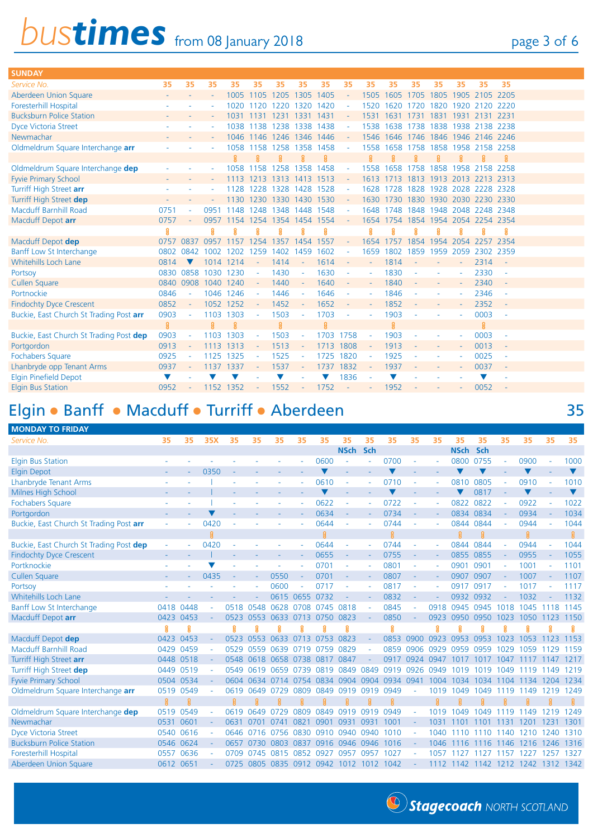## **bustimes** from 08 January 2018 page 3 of 6

| <b>SUNDAY</b>                           |      |           |                          |           |           |                     |           |           |            |        |                |      |      |           |                     |        |  |
|-----------------------------------------|------|-----------|--------------------------|-----------|-----------|---------------------|-----------|-----------|------------|--------|----------------|------|------|-----------|---------------------|--------|--|
| Service No.                             | 35   | 35        | 35                       | 35        | 35        | 35                  | 35        | 35        | 35         | 35     | 35             | 35   | 35   | 35        | 35                  | 35     |  |
| Aberdeen Union Square                   |      |           | $\overline{\phantom{a}}$ | 1005      | 1105 1205 |                     | 1305 1405 |           |            | 1505   | 1605           | 1705 | 1805 |           | 1905 2105 2205      |        |  |
| <b>Foresterhill Hospital</b>            |      |           | ٠                        | 1020      | 1120      | 1220                | 1320      | 1420      |            | 1520   | 1620           | 1720 | 1820 |           | 1920 2120 2220      |        |  |
| <b>Bucksburn Police Station</b>         |      |           |                          | 1031      | 1131      | 1231                | 1331      | 1431      |            | 1531   | 1631           | 1731 |      |           | 1831 1931 2131 2231 |        |  |
| <b>Dyce Victoria Street</b>             |      |           |                          | 1038      | 1138      | 1238                | 1338      | 1438      |            | 1538   | 1638           | 1738 |      |           | 1838 1938 2138 2238 |        |  |
| Newmachar                               |      |           |                          | 1046      | 1146      | 1246                | 1346 1446 |           |            | 1546   | 1646           | 1746 |      |           | 1846 1946 2146 2246 |        |  |
| Oldmeldrum Square Interchange arr       |      |           |                          | 1058      | 1158      | 1258                | 1358 1458 |           |            | 1558   | 1658           | 1758 | 1858 |           | 1958 2158 2258      |        |  |
|                                         |      |           |                          | R         | 贝         | R                   | ß         | R.        |            | g.     |                |      |      |           | R                   | 舃      |  |
| Oldmeldrum Square Interchange dep       |      |           |                          | 1058      | 158       | 1258                | 1358      | 1458      |            | 1558   | 1658           | 1758 | 1858 | 1958      | 2158 2258           |        |  |
| <b>Fyvie Primary School</b>             |      |           |                          | 1113      | 1213      | 1313                | 1413      | 1513      |            | 1613   | 1713           | 1813 |      |           | 1913 2013 2213 2313 |        |  |
| Turriff High Street arr                 |      |           |                          | 128       | 1228      | 1328                | 1428 1528 |           |            | 1628   | 1728           | 1828 |      |           | 1928 2028 2228 2328 |        |  |
| Turriff High Street dep                 |      |           |                          | 130       |           | 1230 1330 1430 1530 |           |           |            |        | 1630 1730 1830 |      |      |           | 1930 2030 2230 2330 |        |  |
| <b>Macduff Barnhill Road</b>            | 0751 |           | 0951                     | 1148      | 1248      | 1348                | 1448      | 1548      |            | 1648   | 1748           | 1848 |      |           | 1948 2048 2248 2348 |        |  |
| Macduff Depot arr                       | 0757 |           | 0957                     | 1154      | 1254      | 1354                | 1454 1554 |           |            |        | 1654 1754      | 1854 | 1954 |           | 2054 2254 2354      |        |  |
|                                         | ខ្ល  |           | ន្ត្                     | ន្ត្      | g         | ន្ត្                | ន្ត្      | ខ្ល       |            | ន្ត    |                |      |      | ႙ၟ        | ႙ၟ                  | ន្ត្   |  |
| Macduff Depot dep                       | 0757 | 0837      | 0957                     | 1157      | 1254      | 1357                | 1454      | 1557      |            | 1654   | 1757           | 1854 | 1954 |           | 2054 2257 2354      |        |  |
| Banff Low St Interchange                | 0802 | 0842      | 1002                     | 1202      | 1259      | 1402                | 1459      | 1602      |            | 1659   | 1802           | 1859 |      | 1959 2059 | 2302 2359           |        |  |
| <b>Whitehills Loch Lane</b>             | 0814 | v         |                          | 1014 1214 | $\sim$    | 1414                | $\sim$    | 1614      | $\sim$     | $\sim$ | 1814           |      |      | ÷         | 2314                | $\sim$ |  |
| Portsoy                                 |      | 0830 0858 | 1030 1230                |           |           | 1430                |           | 1630      |            |        | 1830           |      |      |           | 2330                |        |  |
| <b>Cullen Square</b>                    |      | 0840 0908 | 1040 1240                |           |           | 1440                |           | 1640      |            |        | 1840           |      |      |           | 2340                |        |  |
| Portnockie                              | 0846 |           | 1046                     | 1246      | ÷         | 1446                |           | 1646      |            |        | 1846           |      |      |           | 2346                |        |  |
| <b>Findochty Dyce Crescent</b>          | 0852 |           |                          | 1052 1252 |           | 1452                |           | 1652      |            |        | 1852           |      |      |           | 2352                | $\sim$ |  |
| Buckie, East Church St Trading Post arr | 0903 | ٠         | 1103                     | 1303      | ÷.        | 1503                |           | 1703      |            |        | 1903           |      |      |           | 0003                | $\sim$ |  |
|                                         | 鼠    |           | <b>Q</b>                 | g         |           | g                   |           | g         |            |        |                |      |      |           | $\mathbf{R}$        |        |  |
| Buckie, East Church St Trading Post dep | 0903 |           | 1103                     | 1303      | ۰         | 1503                |           | 1703      | 1758       |        | 1903           |      |      |           | 0003                | $\sim$ |  |
| Portgordon                              | 0913 | ÷,        | 1113                     | 1313      |           | 1513                |           | 1713      | 1808       | $\sim$ | 1913           |      |      |           | 0013                | $\sim$ |  |
| Fochabers Square                        | 0925 |           | 1125                     | 1325      |           | 1525                |           | 1725 1820 |            |        | 1925           |      |      |           | 0025                | $\sim$ |  |
| Lhanbryde opp Tenant Arms               | 0937 |           | 1137                     | 1337      |           | 1537                |           | 1737      | 1832       |        | 1937           |      |      |           | 0037                | $\sim$ |  |
| <b>Elgin Pinefield Depot</b>            | V    |           |                          |           |           |                     |           |           | 1836       |        |                |      |      |           |                     |        |  |
| <b>Elgin Bus Station</b>                | 0952 |           | 1152                     | 1352      |           | 1552                |           | 1752      | $\sim$ $-$ |        | 1952           |      |      |           | 0052                |        |  |

#### Elgin • Banff • Macduff • Turriff • Aberdeen 35

**MONDAY TO FRIDAY** *Service No.* **35 35 35X 35 35 35 35 35 35 35 35 35 35 35 35 35 35 35 35 NSch Sch NSch Sch** Elgin Bus Station - - - - - - - 0600 - - 0700 - - 0800 0755 - 0900 - 1000 Elgin Depot - - - - 0350 - - - -  $\blacktriangledown$  -  $\blacktriangledown$  -  $\blacktriangledown$   $\blacktriangledown$  -  $\blacktriangledown$  -  $\blacktriangledown$  -  $\blacktriangledown$ Lhanbryde Tenant Arms - - l - - - - 0610 - - 0710 - - 0810 0805 - 0910 - 1010 Milnes High School  $\blacksquare$  -  $\blacksquare$  -  $\blacksquare$  -  $\blacksquare$  -  $\blacksquare$  -  $\blacksquare$   $\blacksquare$   $\blacksquare$   $\blacksquare$   $\blacksquare$   $\blacksquare$   $\blacksquare$   $\blacksquare$   $\blacksquare$   $\blacksquare$   $\blacksquare$   $\blacksquare$   $\blacksquare$   $\blacksquare$   $\blacksquare$   $\blacksquare$   $\blacksquare$   $\blacksquare$   $\blacksquare$   $\blacksquare$   $\blacksquare$   $\blacksquare$   $\bl$ Fochabers Square - - l - - - - 0622 - - 0722 - - 0822 0822 - 0922 - 1022 Portgordon - - - - ▼ - - - 0634 - 0734 - 0834 0834 - 0934 - 0934 - 1034 Buckie, East Church St Trading Post **arr** - - 0420 - - - - 0644 - - 0744 - - 0844 0844 - 0944 - 1044  $\Omega$  $\mathbf{R}$ ន្ល ୍ଗ 8 Buckie, East Church St Trading Post **dep** - - 0420 - - - - 0644 - - 0744 - - 0844 0844 - 0944 - 1044 Findochty Dyce Crescent **- - - | - - - - 0655 - - 0755 - - 0855 0855 - 0955 -** 1055 Portknockie - - q - - - - 0701 - - 0801 - - 0901 0901 - 1001 - 1101 Cullen Square - - 0435 - - 0550 - 0701 - - 0807 - - 0907 0907 - 1007 - 1107 Portsoy - - - - - 0600 - 0717 - - 0817 - - 0917 0917 - 1017 - 1117 Whitehills Loch Lane **- - - - - - - - - - - - 0615 0655 0732** - - - 0832 - - - 0932 0932 - 1032 - 1132 Banff Low St Interchange 0418 0448 - 0518 0548 0628 0708 0745 0818 - 0845 - 0918 0945 0945 1018 1045 1118 1145 Macduff Depot **arr** 0423 0453 - 0523 0553 0633 0713 0750 0823 - 0850 - 0923 0950 0950 1023 1050 1123 1150 ន្ល ន្ត្ ្ឆ G ន្ត្ g g ន្ល ន្ល g f S Macduff Depot **dep** 0423 0453 - 0523 0553 0633 0713 0753 0823 - 0853 0900 0923 0953 0953 1023 1053 1123 1153 Macduff Barnhill Road 0429 0459 - 0529 0559 0639 0719 0759 0829 - 0859 0906 0929 0959 0959 1029 1059 1129 1159 Turriff High Street **arr** 0448 0518 - 0548 0618 0658 0738 0817 0847 - 0917 0924 0947 1017 1017 1047 1117 1147 1217 Turriff High Street **dep** 0449 0519 - 0549 0619 0659 0739 0819 0849 0849 0919 0926 0949 1019 1019 1049 1119 1149 1219 Fyvie Primary School 0504 0534 - 0604 0634 0714 0754 0834 0904 0904 0934 0941 1004 1034 1034 1104 1134 1204 1234 Oldmeldrum Square Interchange **arr** 0519 0549 - 0619 0649 0729 0809 0849 0919 0919 0949 - 1019 1049 1049 1119 1149 1219 1249  $\mathbf{R}$  $\mathbf{R}$ g Oldmeldrum Square Interchange **dep** 0519 0549 - 0619 0649 0729 0809 0849 0919 0919 0949 - 1019 1049 1049 1119 1149 1219 1249 Newmachar 0531 0601 - 0631 0701 0741 0821 0901 0931 0931 1001 - 1031 1101 1101 1131 1201 1231 1301 Dyce Victoria Street 0540 0616 - 0646 0716 0756 0830 0910 0940 0940 1010 - 1040 1110 1110 1140 1210 1240 1310 Bucksburn Police Station 0546 0624 - 0657 0730 0803 0837 0916 0946 0946 1016 - 1046 1116 1116 1146 1216 1246 1316 Foresterhill Hospital 0557 0636 - 0709 0745 0815 0852 0927 0957 0957 1027 - 1057 1127 1127 1157 1227 1257 1327 Aberdeen Union Square 0612 0651 - 0725 0805 0835 0912 0942 1012 1012 1042 - 1112 1142 1142 1212 1242 1312 1342



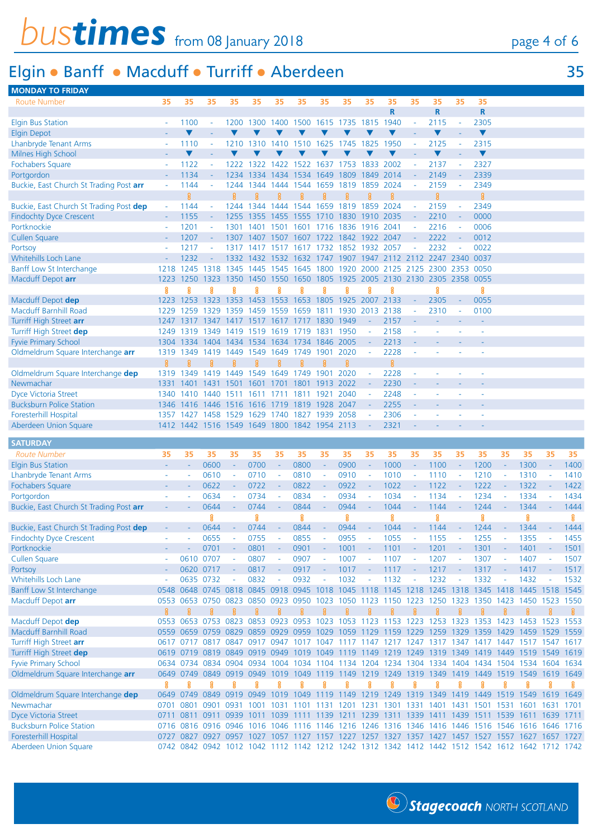# *bustimes* from 08 January 2018 page 4 of 6

### Elgin • Banff • Macduff • Turriff • Aberdeen 35

|  | . . |
|--|-----|
|  |     |

| <b>MONDAY TO FRIDAY</b>                        |                |                                              |                     |                          |           |                |           |        |              |                          |      |                          |                |                          |                                                                                                                                                                                                  |                          |      |                             |          |
|------------------------------------------------|----------------|----------------------------------------------|---------------------|--------------------------|-----------|----------------|-----------|--------|--------------|--------------------------|------|--------------------------|----------------|--------------------------|--------------------------------------------------------------------------------------------------------------------------------------------------------------------------------------------------|--------------------------|------|-----------------------------|----------|
| <b>Route Number</b>                            | 35             | 35                                           | 35                  | 35                       | 35        | 35             | 35        | 35     | 35           | 35                       | 35   | 35                       | 35             | 35                       | 35                                                                                                                                                                                               |                          |      |                             |          |
|                                                |                |                                              |                     |                          |           |                |           |        |              |                          | R    |                          | R              |                          | R                                                                                                                                                                                                |                          |      |                             |          |
| <b>Elgin Bus Station</b>                       |                | 1100                                         | ÷,                  | 1200                     | 1300      | 1400           | 1500      | 1615   | 1735 1815    |                          | 1940 | $\blacksquare$           | 2115           | $\overline{\phantom{a}}$ | 2305                                                                                                                                                                                             |                          |      |                             |          |
| <b>Elgin Depot</b>                             |                | v                                            |                     |                          |           |                |           |        |              | ▼                        |      | $\mathbf{r}$             | v              |                          | ▼                                                                                                                                                                                                |                          |      |                             |          |
| <b>Lhanbryde Tenant Arms</b>                   |                | 1110                                         | ÷                   | 1210                     | 1310      | 1410           | 1510      | 1625   | 1745         | 1825                     | 1950 | ÷,                       | 2125           | ÷                        | 2315                                                                                                                                                                                             |                          |      |                             |          |
| Milnes High School                             |                |                                              |                     |                          |           |                |           |        |              |                          |      |                          |                |                          | $\blacktriangledown$                                                                                                                                                                             |                          |      |                             |          |
| Fochabers Square                               |                | 1122                                         | $\blacksquare$      | 1222                     | 1322      | 1422           | 1522      | 1637   | 1753         | 1833                     | 2002 | $\bar{\phantom{a}}$      | 2137           | $\blacksquare$           | 2327                                                                                                                                                                                             |                          |      |                             |          |
| Portgordon                                     |                | 1134                                         | $\blacksquare$      | 1234                     | 1334      | 1434           | 1534      | 1649   | 1809         | 1849                     | 2014 | $\blacksquare$           | 2149           | $\blacksquare$           | 2339                                                                                                                                                                                             |                          |      |                             |          |
|                                                |                |                                              |                     |                          |           |                |           |        |              |                          |      |                          |                |                          |                                                                                                                                                                                                  |                          |      |                             |          |
| Buckie, East Church St Trading Post arr        | $\sim$         | 1144                                         | $\omega$            | 1244                     | 1344      | 1444           | 1544      | 1659   | 1819         | 1859                     | 2024 | $\equiv$                 | 2159           | $\bar{\phantom{a}}$      | 2349                                                                                                                                                                                             |                          |      |                             |          |
|                                                |                | 8                                            |                     | ន្ត្                     | ន្ត្      | ន្ល            | 욣         | R      | ន្ត្         | Я                        | ខ្ល  |                          | 8              |                          | ខ្ល                                                                                                                                                                                              |                          |      |                             |          |
| Buckie, East Church St Trading Post dep        | $\blacksquare$ | 1144                                         | $\blacksquare$      | 1244                     | 1344      | 1444           | 1544      | 1659   | 1819         | 1859                     | 2024 | $\sim$                   | 2159           | $\blacksquare$           | 2349                                                                                                                                                                                             |                          |      |                             |          |
| <b>Findochty Dyce Crescent</b>                 |                | 1155                                         | $\sim$              | 1255                     | 1355      | 1455           | 1555      | 1710   | 1830         | 1910                     | 2035 | $\blacksquare$           | 2210           | $\equiv$                 | 0000                                                                                                                                                                                             |                          |      |                             |          |
| Portknockie                                    |                | 1201                                         | $\bar{\phantom{a}}$ | 1301                     | 1401      | 1501           | 1601 1716 |        | 1836 1916    |                          | 2041 | $\sim$                   | 2216           | $\blacksquare$           | 0006                                                                                                                                                                                             |                          |      |                             |          |
| Cullen Square                                  |                | 1207                                         | $\sim$              | 1307                     | 1407      | 1507           | 1607      | 1722   | 1842 1922    |                          | 2047 | ÷.                       | 2222           | $\blacksquare$           | 0012                                                                                                                                                                                             |                          |      |                             |          |
| Portsoy                                        |                | 1217                                         | $\bar{\phantom{a}}$ | 1317                     | 1417      |                | 1617      | 1732   | 1852         | 1932                     | 2057 |                          | 2232           | $\blacksquare$           | 0022                                                                                                                                                                                             |                          |      |                             |          |
| <b>Whitehills Loch Lane</b>                    |                | 1232                                         | ÷.                  | 1332                     | 1432      | 1532           | 1632      | 1747   | 1907         | 1947                     | 2112 | 2112                     | 2247 2340 0037 |                          |                                                                                                                                                                                                  |                          |      |                             |          |
| Banff Low St Interchange                       | 1218           | 1245                                         | 1318                | 1345                     | 1445      | 1545           | 1645      | 1800   | 1920         | 2000                     | 2125 | 2125                     | 2300           | 2353 0050                |                                                                                                                                                                                                  |                          |      |                             |          |
| Macduff Depot arr                              | 1223           | 1250                                         | 1323                | 1350                     | 1450      | 1550           | 1650      | 1805   | 1925         | 2005                     |      | 2130 2130 2305 2358 0055 |                |                          |                                                                                                                                                                                                  |                          |      |                             |          |
|                                                | 욝              | Я                                            | ន្ត្                | ୁନ                       | ន្ត       | Я              |           | ន្ត្   | ន្ត          | ୁନ                       | ន្ត  |                          | ន្ត្           |                          | 8                                                                                                                                                                                                |                          |      |                             |          |
| Macduff Depot dep                              | 1223           | 1253                                         | 1323                | 1353                     | 1453      | 1553           | 1653      | 1805   | 1925         | 2007                     | 2133 |                          | 2305           |                          | 0055                                                                                                                                                                                             |                          |      |                             |          |
| <b>Macduff Barnhill Road</b>                   | 1229           | 1259                                         | 1329                | 1359                     | 1459      | 1559           | 1659      | 1811   | 1930 2013    |                          | 2138 | ÷,                       | 2310           | ÷,                       | 0100                                                                                                                                                                                             |                          |      |                             |          |
| Turriff High Street arr                        | 1247           | 1317                                         | 1347                | 1417                     | 1517      | 1617           | 1717      | 1830   | 1949         |                          | 2157 |                          |                |                          |                                                                                                                                                                                                  |                          |      |                             |          |
| Turriff High Street dep                        | 1249           | 1319                                         | 1349                | 1419                     | 1519      | 1619           | 1719      | 1831   | 1950         |                          | 2158 | ÷.                       |                |                          |                                                                                                                                                                                                  |                          |      |                             |          |
| <b>Fyvie Primary School</b>                    | 1304           | 1334                                         | 1404                | -1434                    | 1534 1634 |                | 1734      | 1846   | 2005         | ÷.                       | 2213 | ÷.                       |                |                          |                                                                                                                                                                                                  |                          |      |                             |          |
|                                                | 1319           | 1349                                         | 1419 1449           |                          | 1549      | 1649           | 1749      | 1901   | 2020         |                          | 2228 | ÷,                       |                |                          |                                                                                                                                                                                                  |                          |      |                             |          |
| Oldmeldrum Square Interchange arr              |                | 鼐                                            |                     |                          |           |                |           |        | 舃            |                          |      |                          |                |                          |                                                                                                                                                                                                  |                          |      |                             |          |
|                                                | ន្ត្           |                                              | 音                   | Я                        | Я         | Я              | 욣         |        |              |                          | 8    |                          |                |                          |                                                                                                                                                                                                  |                          |      |                             |          |
| Oldmeldrum Square Interchange dep              | 1319           | 1349                                         | 1419                | 1449                     | 1549      | 1649           | 1749      | 1901   | 2020         |                          | 2228 | ÷,                       |                |                          |                                                                                                                                                                                                  |                          |      |                             |          |
| Newmachar                                      | 1331           | 1401                                         | 1431                | 1501                     | 1601      | 1701           | 1801      | 1913   | 2022         |                          | 2230 | ÷.                       |                |                          |                                                                                                                                                                                                  |                          |      |                             |          |
| <b>Dyce Victoria Street</b>                    | 1340           | 1410                                         | 1440                | -1511                    | 1611      | 1711           | 1811      | 1921   | 2040         | $\sim$                   | 2248 | $\mathbb{Z}$             |                |                          |                                                                                                                                                                                                  |                          |      |                             |          |
| <b>Bucksburn Police Station</b>                | 1346.          | 1416                                         | 1446                | 1516                     | 1616 1719 |                | 1819      | 1928   | 2047         |                          | 2255 | ÷                        |                |                          |                                                                                                                                                                                                  |                          |      |                             |          |
| Foresterhill Hospital                          | 1357           | 1427                                         | 1458                | 1529                     | 1629      | 1740           | 1827      | 1939   | 2058         |                          | 2306 | ÷,                       |                |                          |                                                                                                                                                                                                  |                          |      |                             |          |
| Aberdeen Union Square                          |                | 1412 1442 1516 1549 1649 1800 1842 1954 2113 |                     |                          |           |                |           |        |              |                          | 2321 | ÷                        |                |                          |                                                                                                                                                                                                  |                          |      |                             |          |
| <b>SATURDAY</b>                                |                |                                              |                     |                          |           |                |           |        |              |                          |      |                          |                |                          |                                                                                                                                                                                                  |                          |      |                             |          |
| <b>Route Number</b>                            | 35             | 35                                           | 35                  | 35                       | 35        | 35             | 35        | 35     | 35           | 35                       | 35   | 35                       | 35             | 35                       | 35                                                                                                                                                                                               | 35                       | 35   | 35                          | 35       |
|                                                |                |                                              | 0600                |                          | 0700      |                | 0800      |        | 0900         |                          | 1000 |                          | 1100           | ÷                        | 1200                                                                                                                                                                                             |                          | 1300 |                             | 1400     |
| <b>Elgin Bus Station</b>                       |                |                                              |                     | $\overline{\phantom{a}}$ |           |                |           | $\sim$ |              | $\overline{\phantom{a}}$ |      | ÷                        |                |                          |                                                                                                                                                                                                  | $\equiv$                 |      |                             |          |
| <b>Lhanbryde Tenant Arms</b>                   |                |                                              | 0610                | $\omega$                 | 0710      | $\blacksquare$ | 0810      | $\sim$ | 0910         | $\overline{\phantom{a}}$ | 1010 | $\blacksquare$           | 1110           | $\overline{\phantom{a}}$ | 1210                                                                                                                                                                                             | $\overline{\phantom{a}}$ | 1310 | $\mathcal{L}_{\mathcal{A}}$ | 1410     |
| Fochabers Square                               |                |                                              | 0622                |                          | 0722      | $\blacksquare$ | 0822      |        | 0922         |                          | 1022 | ÷,                       | 1122           |                          | 1222                                                                                                                                                                                             |                          | 1322 | $\blacksquare$              | 1422     |
| Portgordon                                     |                |                                              | 0634                |                          | 0734      | $\sim$         | 0834      | ÷,     | 0934         | $\overline{\phantom{a}}$ | 1034 | $\blacksquare$           | 1134           | $\blacksquare$           | 1234                                                                                                                                                                                             | $\sim$                   | 1334 | $\sim$                      | 1434     |
| Buckie, East Church St Trading Post arr        |                |                                              | 0644                |                          | 0744      |                | 0844      |        | 0944         |                          | 1044 |                          | 1144           |                          |                                                                                                                                                                                                  |                          |      |                             | 1444     |
|                                                |                |                                              | ន្ត្                |                          |           |                |           |        |              |                          |      |                          |                |                          | 1244                                                                                                                                                                                             |                          | 1344 |                             | 8        |
| Buckie, East Church St Trading Post <b>dep</b> |                |                                              |                     |                          | ខ្ល       |                | 8         |        | ရွ           |                          | ខ្ល  |                          | ខ្ល            |                          | ႘ၟ                                                                                                                                                                                               |                          | ខ្ល  |                             |          |
| <b>Findochty Dyce Crescent</b>                 |                |                                              | 0644                |                          | 0744      |                | 0844      |        | 0944         |                          | 1044 |                          | 1144           |                          | 1244                                                                                                                                                                                             |                          | 1344 |                             | 1444     |
|                                                |                |                                              | 0655                |                          | 0755      |                | 0855      |        | 0955         |                          | 1055 |                          | 1155           |                          | 1255                                                                                                                                                                                             |                          | 1355 |                             | 1455     |
| Portknockie                                    |                |                                              | 0701                |                          | 0801      |                | 0901      |        | 1001         |                          | 1101 |                          | 1201           |                          | 1301                                                                                                                                                                                             |                          | 1401 |                             | 1501     |
| <b>Cullen Square</b>                           |                | 0610 0707                                    |                     | $\sim$                   | 0807      | $\blacksquare$ | 0907      | $\sim$ | 1007         | $\blacksquare$           | 1107 | $\overline{\phantom{a}}$ | 1207           | $\sim$                   | 1307                                                                                                                                                                                             | $\blacksquare$           | 1407 |                             | 1507     |
| Portsoy                                        |                | 0620 0717                                    |                     |                          | 0817      |                | 0917      |        | 1017         |                          | 1117 |                          | 1217           |                          | 1317                                                                                                                                                                                             |                          | 1417 |                             | 1517     |
| Whitehills Loch Lane                           |                |                                              | 0635 0732           | $\sim$                   | 0832      | $\sim$         | 0932      | $\sim$ | 1032         | $\omega$                 | 1132 | $\omega$                 | 1232           | $\blacksquare$           | 1332                                                                                                                                                                                             | $\equiv$                 | 1432 | $\sim$                      | 1532     |
| Banff Low St Interchange                       |                |                                              |                     |                          |           |                |           |        |              |                          |      |                          |                |                          | 0548 0648 0745 0818 0845 0918 0945 1018 1045 1118 1145 1218 1245 1318 1345 1418 1445 1518 1545                                                                                                   |                          |      |                             |          |
| Macduff Depot arr                              |                |                                              |                     |                          |           |                |           |        |              |                          |      |                          |                |                          | 0553 0653 0750 0823 0850 0923 0950 1023 1050 1123 1150 1223 1250 1323 1350 1423 1450 1523 1550                                                                                                   |                          |      |                             |          |
|                                                | Å              | 音                                            | Å                   | ន្ត្                     | Å         | g              | 音         | 且      | $\mathbf{R}$ | g                        | 音    | g                        | 音              | g                        | $\mathbf{a}$                                                                                                                                                                                     | g                        | 畠    | $\mathbf{R}$                | $\bf{g}$ |
| Macduff Depot dep                              |                |                                              |                     |                          |           |                |           |        |              |                          |      |                          |                |                          | 0553 0653 0753 0823 0853 0923 0953 1023 1053 1123 1153 1223 1253 1323 1353 1423 1453 1523 1553                                                                                                   |                          |      |                             |          |
| <b>Macduff Barnhill Road</b>                   |                |                                              |                     |                          |           |                |           |        |              |                          |      |                          |                |                          | 0559 0659 0759 0829 0859 0929 0959 1029 1059 1129 1159 1229 1259 1329 1359 1429 1459 1529 1559                                                                                                   |                          |      |                             |          |
| Turriff High Street arr                        |                |                                              |                     |                          |           |                |           |        |              |                          |      |                          |                |                          | 0617 0717 0817 0847 0917 0947 1017 1047 1117 1147 1217 1247 1317 1347 1417 1447 1517 1547 1617                                                                                                   |                          |      |                             |          |
|                                                |                |                                              |                     |                          |           |                |           |        |              |                          |      |                          |                |                          | 0619 0719 0819 0849 0919 0949 1019 1049 1119 1149 1219 1249 1319 1349 1419 1449 1519 1549 1619                                                                                                   |                          |      |                             |          |
| Turriff High Street dep                        |                |                                              |                     |                          |           |                |           |        |              |                          |      |                          |                |                          | 0634 0734 0834 0904 0934 1004 1034 1104 1134 1204 1234 1304 1334 1404 1434 1504 1534 1604 1634                                                                                                   |                          |      |                             |          |
| <b>Fyvie Primary School</b>                    |                |                                              |                     |                          |           |                |           |        |              |                          |      |                          |                |                          |                                                                                                                                                                                                  |                          |      |                             |          |
| Oldmeldrum Square Interchange arr              |                |                                              |                     |                          |           |                |           |        |              |                          |      |                          |                |                          | 0649 0749 0849 0919 0949 1019 1049 1119 1149 1219 1249 1319 1349 1419 1449 1519 1549 1619 1649                                                                                                   |                          |      |                             |          |
|                                                | 8              | ខ្ល                                          | ខ្ល                 | ន្ត្                     | ន្ត       | ន្ត្           | 욣         | g      | ន្ត          | ន្ត្                     | ន្ត  | 8                        | ន្ត            | ន្ត                      | 8                                                                                                                                                                                                | ន្ត្                     | 욣    | ន្ត្                        | 8.       |
| Oldmeldrum Square Interchange dep              |                | 0649 0749 0849 0919                          |                     |                          | 0949      |                |           |        |              |                          |      |                          |                |                          | 1019 1049 1119 1149 1219 1249 1319 1349 1419 1449 1519 1549                                                                                                                                      |                          |      | 1619                        | 1649     |
| Newmachar                                      |                |                                              |                     |                          |           |                |           |        |              |                          |      |                          |                |                          | 0701 0801 0901 0931 1001 1031 1101 1131 1201 1231 1301 1331 1401 1431 1501 1531 1601 1631 1701                                                                                                   |                          |      |                             |          |
| <b>Dyce Victoria Street</b>                    |                |                                              |                     |                          |           |                |           |        |              |                          |      |                          |                |                          | 0711 0811 0911 0939 1011 1039 1111 1139 1211 1239 1311 1339 1411 1439 1511 1539 1611 1639 1711                                                                                                   |                          |      |                             |          |
| <b>Bucksburn Police Station</b>                |                |                                              |                     |                          |           |                |           |        |              |                          |      |                          |                |                          | 0716 0816 0916 0946 1016 1046 1116 1146 1216 1246 1316 1346 1416 1446 1516 1546 1616 1646 1716                                                                                                   |                          |      |                             |          |
| Foresterhill Hospital<br>Aberdeen Union Square |                |                                              |                     |                          |           |                |           |        |              |                          |      |                          |                |                          | 0727 0827 0927 0957 1027 1057 1127 1157 1227 1257 1327 1357 1427 1457 1527 1557 1627 1657 1727<br>0742 0842 0942 1012 1042 1112 1142 1212 1242 1312 1342 1412 1442 1512 1542 1612 1642 1712 1742 |                          |      |                             |          |

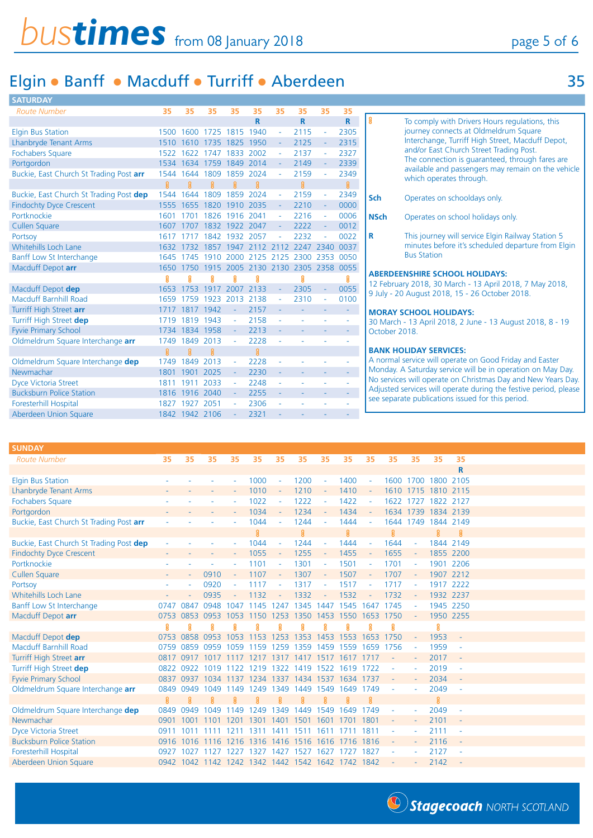| <b>SATURDAY</b>                         |      |                |      |                |             |        |                                         |          |             |                                                                                                           |
|-----------------------------------------|------|----------------|------|----------------|-------------|--------|-----------------------------------------|----------|-------------|-----------------------------------------------------------------------------------------------------------|
| <b>Route Number</b>                     | 35   | 35             | 35   | 35             | 35          | 35     | 35                                      | 35       | 35          |                                                                                                           |
|                                         |      |                |      |                | $\mathbf R$ |        | R.                                      |          | $\mathbf R$ | ရွ<br>To comply with Drivers Hours regulations, this                                                      |
| <b>Elgin Bus Station</b>                | 1500 | 1600           |      | 1725 1815 1940 |             |        | 2115                                    |          | 2305        | journey connects at Oldmeldrum Square                                                                     |
| <b>Lhanbryde Tenant Arms</b>            | 1510 | 1610           |      | 1735 1825      | 1950        |        | 2125                                    |          | 2315        | Interchange, Turriff High Street, Macduff Depot,                                                          |
| <b>Fochabers Square</b>                 | 1522 | 1622           | 1747 | 1833           | 2002        |        | 2137                                    |          | 2327        | and/or East Church Street Trading Post.                                                                   |
| Portgordon                              |      | 1534 1634      | 1759 | 1849 2014      |             |        | 2149                                    |          | 2339        | The connection is guaranteed, through fares are<br>available and passengers may remain on the vehicle     |
| Buckie, East Church St Trading Post arr | 1544 | 1644           | 1809 | 1859           | 2024        |        | 2159                                    |          | 2349        | which operates through.                                                                                   |
|                                         | ୍ଥ   | 且              | 舃    | ဨၟ             | 舃           |        | g                                       |          | 8           |                                                                                                           |
| Buckie, East Church St Trading Post dep | 1544 | 1644           | 1809 | 1859 2024      |             | ÷.     | 2159                                    | ÷.       | 2349        | <b>Sch</b><br>Operates on schooldays only.                                                                |
| <b>Findochty Dyce Crescent</b>          |      | 1555 1655      | 1820 | 1910 2035      |             |        | 2210                                    |          | 0000        |                                                                                                           |
| Portknockie                             | 1601 | 1701           | 1826 | 1916           | 2041        | $\sim$ | 2216                                    |          | 0006        | <b>NSch</b><br>Operates on school holidays only.                                                          |
| Cullen Square                           | 1607 | 1707           |      | 1832 1922      | 2047        |        | 2222                                    |          | 0012        |                                                                                                           |
| Portsoy                                 | 1617 |                | 1842 | 1932           | 2057        |        | 2232                                    |          | 0022        | This journey will service Elgin Railway Station 5<br>R                                                    |
| <b>Whitehills Loch Lane</b>             | 1632 | 1732           | 1857 | 1947           | 2112        | 2112   | 2247 2340                               |          | 0037        | minutes before it's scheduled departure from Elgin                                                        |
| Banff Low St Interchange                |      | 1645 1745      |      |                |             |        | 1910 2000 2125 2125 2300 2353 0050      |          |             | <b>Bus Station</b>                                                                                        |
| Macduff Depot arr                       | 1650 |                |      |                |             |        | 1750 1915 2005 2130 2130 2305 2358 0055 |          |             |                                                                                                           |
|                                         |      |                |      | ន្ត្           |             |        | ខ្ល                                     |          | 8           | <b>ABERDEENSHIRE SCHOOL HOLIDAYS:</b>                                                                     |
| Macduff Depot dep                       | 1653 | 1753           | 1917 | 2007           | 2133        |        | 2305                                    | $\omega$ | 0055        | 12 February 2018, 30 March - 13 April 2018, 7 May 2018,<br>9 July - 20 August 2018, 15 - 26 October 2018. |
| <b>Macduff Barnhill Road</b>            | 1659 | 1759           | 1923 | 2013           | 2138        |        | 2310                                    |          | 0100        |                                                                                                           |
| Turriff High Street arr                 |      | 1717 1817      | 1942 |                | 2157        |        |                                         |          | $\sim$      | <b>MORAY SCHOOL HOLIDAYS:</b>                                                                             |
| Turriff High Street dep                 |      | 1719 1819      | 1943 | ÷,             | 2158        | ۰      |                                         |          |             | 30 March - 13 April 2018, 2 June - 13 August 2018, 8 - 19                                                 |
| <b>Fyvie Primary School</b>             |      | 1734 1834 1958 |      | $\omega$       | 2213        |        |                                         |          |             | October 2018.                                                                                             |
| Oldmeldrum Square Interchange arr       | 1749 | 1849           | 2013 | $\sim$         | 2228        |        |                                         |          |             |                                                                                                           |
|                                         |      |                |      |                | g           |        |                                         |          |             | <b>BANK HOLIDAY SERVICES:</b>                                                                             |
| Oldmeldrum Square Interchange dep       |      | 1749 1849      | 2013 | $\sim$         | 2228        |        |                                         |          |             | A normal service will operate on Good Friday and Easter                                                   |
| Newmachar                               | 1801 | 1901           | 2025 |                | 2230        |        |                                         |          | ÷.          | Monday. A Saturday service will be in operation on May Day.                                               |
| <b>Dyce Victoria Street</b>             |      | 1811 1911      | 2033 | ÷.             | 2248        | ÷.     |                                         |          |             | No services will operate on Christmas Day and New Years Day.                                              |
| <b>Bucksburn Police Station</b>         |      | 1816 1916      | 2040 | $\sim$         | 2255        |        |                                         |          |             | Adjusted services will operate during the festive period, please                                          |
| Foresterhill Hospital                   |      | 1827 1927      | 2051 |                | 2306        |        |                                         |          |             | see separate publications issued for this period.                                                         |
| Aberdeen Union Square                   |      | 1842 1942 2106 |      |                | 2321        |        |                                         |          |             |                                                                                                           |

| <b>SUNDAY</b>                           |      |           |                                                   |      |           |        |           |           |                               |                          |      |                     |           |                          |
|-----------------------------------------|------|-----------|---------------------------------------------------|------|-----------|--------|-----------|-----------|-------------------------------|--------------------------|------|---------------------|-----------|--------------------------|
| <b>Route Number</b>                     | 35   | 35        | 35                                                | 35   | 35        | 35     | 35        | 35        | 35                            | 35                       | 35   | 35                  | 35        | 35                       |
|                                         |      |           |                                                   |      |           |        |           |           |                               |                          |      |                     |           | $\mathbf R$              |
| <b>Elgin Bus Station</b>                |      |           |                                                   |      | 1000      |        | 1200      |           | 1400                          |                          |      | 1600 1700 1800 2105 |           |                          |
| Lhanbryde Tenant Arms                   |      |           |                                                   |      | 1010      |        | 1210      |           | 1410                          |                          |      | 1610 1715 1810 2115 |           |                          |
| <b>Fochabers Square</b>                 |      |           |                                                   |      | 1022      | $\sim$ | 1222      |           | 1422                          | $\overline{\phantom{a}}$ |      | 1622 1727           | 1822 2127 |                          |
| Portgordon                              |      |           |                                                   |      | 1034      |        | 1234      |           | 1434                          |                          |      | 1634 1739           | 1834 2139 |                          |
| Buckie, East Church St Trading Post arr |      |           |                                                   |      | 1044      |        | 1244      |           | 1444                          |                          |      | 1644 1749           | 1844 2149 |                          |
|                                         |      |           |                                                   |      | <b>Q</b>  |        | 音         |           | $\mathbf{a}$                  |                          | ខ្ល  |                     | 8         | ୍ଥି                      |
| Buckie, East Church St Trading Post dep |      |           |                                                   |      | 1044      |        | 1244      |           | 1444                          |                          | 1644 | ٠                   |           | 1844 2149                |
| <b>Findochty Dyce Crescent</b>          |      |           |                                                   |      | 1055      | $\sim$ | 1255      |           | 1455                          |                          | 1655 | $\sim$              |           | 1855 2200                |
| Portknockie                             |      |           |                                                   |      | 1101      |        | 1301      |           | 1501                          |                          | 1701 | $\sim$              |           | 1901 2206                |
| <b>Cullen Square</b>                    |      |           | 0910                                              |      | 1107      | $\sim$ | 1307      |           | 1507                          |                          | 1707 | $\sim$              | 1907 2212 |                          |
| Portsoy                                 |      |           | 0920                                              |      | 1117      | $\sim$ | 1317      |           | 1517                          |                          | 1717 | $\sim$              | 1917 2222 |                          |
| <b>Whitehills Loch Lane</b>             |      |           | 0935                                              |      | 1132      |        | 1332      |           | 1532                          |                          | 1732 |                     |           | 1932 2237                |
| Banff Low St Interchange                | 0747 | 0847      | 0948                                              | 1047 | 1145      | 1247   | 1345      | 1447      | 1545                          | 1647                     | 1745 | $\sim$              |           | 1945 2250                |
| Macduff Depot arr                       | 0753 | 0853      | 0953                                              | 1053 | 1150      | 1253   | 1350      | 1453      | 1550                          | 1653                     | 1750 |                     | 1950 2255 |                          |
|                                         | ន្ត  |           | ន្ត                                               |      |           |        |           |           |                               |                          |      |                     | g         |                          |
| Macduff Depot dep                       | 0753 | 0858      | 0953                                              | 1053 | 1153      | 1253   | 1353      | 1453      | 1553                          | 1653                     | 1750 | $\omega$            | 1953      | ÷                        |
| <b>Macduff Barnhill Road</b>            | 0759 | 0859      | 0959                                              | 1059 | 1159 1259 |        |           |           | 1359 1459 1559                | 1659                     | 1756 |                     | 1959      | $\overline{\phantom{a}}$ |
| Turriff High Street arr                 |      | 0817 0917 | 1017 1117                                         |      | 1217      | 1317   |           | 1417 1517 | 1617 1717                     |                          |      | $\sim$              | 2017      | L,                       |
| Turriff High Street dep                 |      | 0822 0922 | 1019                                              | 1122 | 1219 1322 |        | 1419 1522 |           | 1619 1722                     |                          |      |                     | 2019      | $\sim$                   |
| <b>Fyvie Primary School</b>             | 0837 | 0937      | 1034                                              | 1137 | 1234      | 1337   | 1434 1537 |           | 1634 1737                     |                          |      | ÷,                  | 2034      |                          |
| Oldmeldrum Square Interchange arr       | 0849 | 0949      | 1049                                              | 1149 | 1249      | 1349   | 1449      | 1549      | 1649                          | 1749                     |      |                     | 2049      | ÷                        |
|                                         | g    |           |                                                   |      |           |        |           |           |                               | ୍ଗ                       |      |                     | ខ្ល       |                          |
| Oldmeldrum Square Interchange dep       | 0849 | 0949      | 1049                                              | 49   | 1249      | 1349   | 1449      | 1549      | 1649                          | 1749                     |      |                     | 2049      | $\sim$                   |
| Newmachar                               | 0901 | 1001      | 1101                                              | 201  | 1301      | 1401   | 1501      | 1601      | 1701                          | 1801                     |      | ÷                   | 2101      |                          |
| <b>Dyce Victoria Street</b>             | 0911 | 1011      |                                                   | 1211 | 1311      | 1411   | 1511      | 1611      |                               | 1811                     |      | ÷,                  | 2111      | $\sim$                   |
| <b>Bucksburn Police Station</b>         |      | 0916 1016 | 1116 1216                                         |      |           |        |           |           | 1316 1416 1516 1616 1716 1816 |                          |      | $\omega$            | 2116      | $\omega$                 |
| <b>Foresterhill Hospital</b>            | 0927 | 1027      | 1127                                              | 1227 | 1327      | 1427   |           |           | 1527 1627 1727 1827           |                          |      |                     | 2127      |                          |
| Aberdeen Union Square                   |      |           | 0942 1042 1142 1242 1342 1442 1542 1642 1742 1842 |      |           |        |           |           |                               |                          |      |                     | 2142      |                          |
|                                         |      |           |                                                   |      |           |        |           |           |                               |                          |      |                     |           |                          |